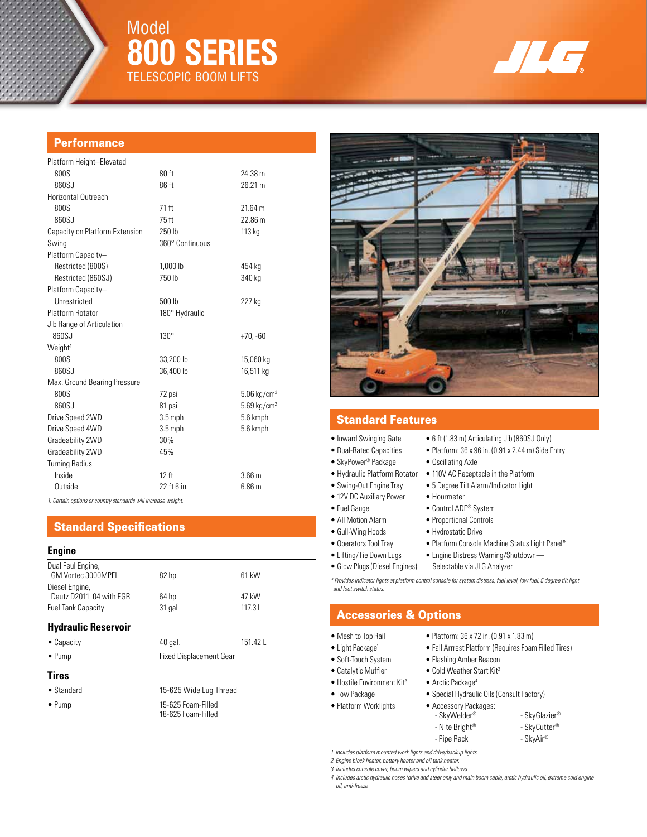

# Model **800 Series** TELESCOPIC BOOM LIFTS



### **Performance**

| Platform Height-Elevated       |                   |                           |
|--------------------------------|-------------------|---------------------------|
| 800S                           | 80 ft             | 24.38 m                   |
| 860SJ                          | 86 ft             | 26.21 m                   |
| Horizontal Outreach            |                   |                           |
| 800S                           | 71 ft             | 21.64 m                   |
| 860SJ                          | 75 ft             | 22.86 m                   |
| Capacity on Platform Extension | 250 lb            | 113 kg                    |
| Swing                          | 360° Continuous   |                           |
| Platform Capacity-             |                   |                           |
| Restricted (800S)              | 1.000 lb          | 454 kg                    |
| Restricted (860SJ)             | 750 lb            | 340 kg                    |
| Platform Capacity-             |                   |                           |
| Unrestricted                   | 500 <sub>th</sub> | 227 kg                    |
| <b>Platform Rotator</b>        | 180° Hydraulic    |                           |
| Jib Range of Articulation      |                   |                           |
| 860SJ                          | $130^\circ$       | $+70, -60$                |
| Weight <sup>1</sup>            |                   |                           |
| 800S                           | 33,200 lb         | 15,060 kg                 |
| 860SJ                          | 36,400 lb         | 16,511 kg                 |
| Max. Ground Bearing Pressure   |                   |                           |
| 800S                           | 72 psi            | $5.06$ kg/cm <sup>2</sup> |
| 860SJ                          | 81 psi            | $5.69$ kg/cm <sup>2</sup> |
| Drive Speed 2WD                | $3.5$ mph         | 5.6 kmph                  |
| Drive Speed 4WD                | $3.5$ mph         | 5.6 kmph                  |
| Gradeability 2WD               | 30%               |                           |
| Gradeability 2WD               | 45%               |                           |
| <b>Turning Radius</b>          |                   |                           |
| Inside                         | $12$ ft           | 3.66 <sub>m</sub>         |
| Outside                        | 22 ft 6 in.       | 6.86 <sub>m</sub>         |

*1. Certain options or country standards will increase weight.*

# Standard Specifications

### **Engine**

| Dual Feul Engine,<br>GM Vortec 3000MPFI   | 82 hp   | 61 kW    |
|-------------------------------------------|---------|----------|
| Diesel Engine,<br>Deutz D2011L04 with EGR | 64 hp   | 47 kW    |
| <b>Fuel Tank Capacity</b>                 | 31 gal  | 117.3L   |
| <b>Hydraulic Reservoir</b>                |         |          |
| $\bullet$ Canacity                        | 40 gal. | 151.42 L |

| --------       |                                |
|----------------|--------------------------------|
| $\bullet$ Pump | <b>Fixed Displacement Gear</b> |

### **Tires**

• Standard 15-625 Wide Lug Thread

• Pump 15-625 Foam-Filled 18-625 Foam-Filled



# Standard Features

- Inward Swinging Gate 6 ft (1.83 m) Articulating Jib (860SJ Only)
- 
- SkyPower<sup>®</sup> Package Oscillating Axle
- 
- 
- 
- 
- 
- 
- 
- 
- 

*\* Provides indicator lights at platform control console for system distress, fuel level, low fuel, 5 degree tilt light and foot switch status.*

### Accessories & Options

- 
- 
- 
- 
- 
- -
- Platform Worklights Accessory Packages:
	- Nite Bright® SkyCutter® - Pipe Rack - SkyAir®

*1. Includes platform mounted work lights and drive/backup lights.* 

*2. Engine block heater, battery heater and oil tank heater.* 

*3. Includes console cover, boom wipers and cylinder bellows.* 

*4. Includes arctic hydraulic hoses (drive and steer only and main boom cable, arctic hydraulic oil, extreme cold engine oil, anti-freeze*

- Dual-Rated Capacities Platform: 36 x 96 in. (0.91 x 2.44 m) Side Entry
	-
- Hydraulic Platform Rotator 110V AC Receptacle in the Platform
- Swing-Out Engine Tray 5 Degree Tilt Alarm/Indicator Light
- 12V DC Auxiliary Power Hourmeter
- Fuel Gauge Control ADE<sup>®</sup> System
- All Motion Alarm Proportional Controls
- Gull-Wing Hoods Hydrostatic Drive
- Operators Tool Tray Platform Console Machine Status Light Panel\*
	-
	-
- Lifting/Tie Down Lugs Engine Distress Warning/Shutdown— • Glow Plugs (Diesel Engines) Selectable via JLG Analyzer

- 
- Soft-Touch System Flashing Amber Beacon
- Catalytic Muffler Cold Weather Start Kit<sup>2</sup>
- Hostile Environment Kit<sup>3</sup> Arctic Package<sup>4</sup>
- Tow Package Special Hydraulic Oils (Consult Factory)
	- SkyWelder® SkyGlazier®
		-
- Mesh to Top Rail Platform: 36 x 72 in. (0.91 x 1.83 m)
- Light Package<sup>1</sup> Fall Arrrest Platform (Requires Foam Filled Tires)
	-
	-
	-